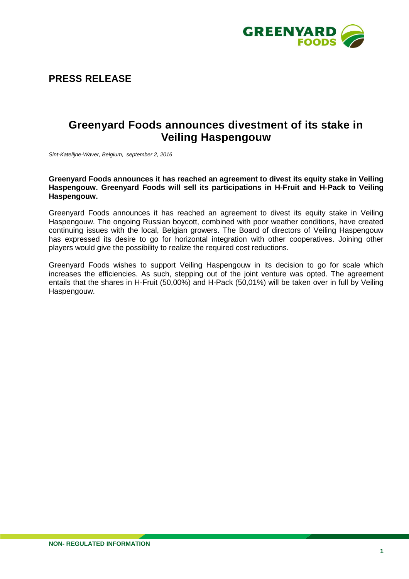

## **PRESS RELEASE**

# **Greenyard Foods announces divestment of its stake in Veiling Haspengouw**

*Sint-Katelijne-Waver, Belgium, september 2, 2016*

#### **Greenyard Foods announces it has reached an agreement to divest its equity stake in Veiling Haspengouw. Greenyard Foods will sell its participations in H-Fruit and H-Pack to Veiling Haspengouw.**

Greenyard Foods announces it has reached an agreement to divest its equity stake in Veiling Haspengouw. The ongoing Russian boycott, combined with poor weather conditions, have created continuing issues with the local, Belgian growers. The Board of directors of Veiling Haspengouw has expressed its desire to go for horizontal integration with other cooperatives. Joining other players would give the possibility to realize the required cost reductions.

Greenyard Foods wishes to support Veiling Haspengouw in its decision to go for scale which increases the efficiencies. As such, stepping out of the joint venture was opted. The agreement entails that the shares in H-Fruit (50,00%) and H-Pack (50,01%) will be taken over in full by Veiling Haspengouw.